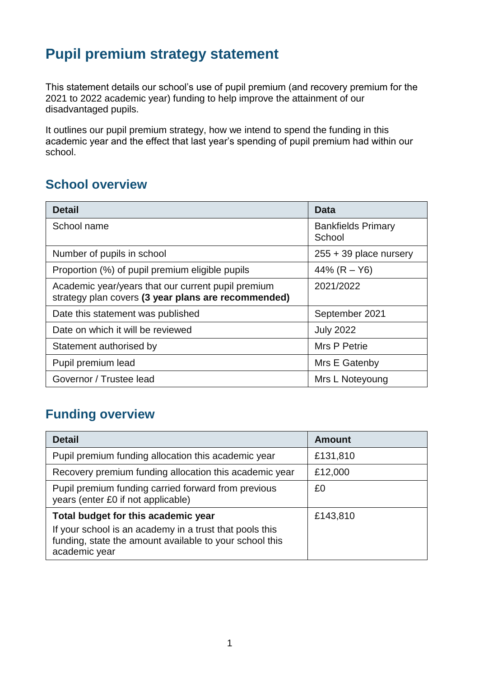# **Pupil premium strategy statement**

This statement details our school's use of pupil premium (and recovery premium for the 2021 to 2022 academic year) funding to help improve the attainment of our disadvantaged pupils.

It outlines our pupil premium strategy, how we intend to spend the funding in this academic year and the effect that last year's spending of pupil premium had within our school.

#### **School overview**

| <b>Detail</b>                                                                                             | Data                                |
|-----------------------------------------------------------------------------------------------------------|-------------------------------------|
| School name                                                                                               | <b>Bankfields Primary</b><br>School |
| Number of pupils in school                                                                                | $255 + 39$ place nursery            |
| Proportion (%) of pupil premium eligible pupils                                                           | 44% $(R - Y6)$                      |
| Academic year/years that our current pupil premium<br>strategy plan covers (3 year plans are recommended) | 2021/2022                           |
| Date this statement was published                                                                         | September 2021                      |
| Date on which it will be reviewed                                                                         | <b>July 2022</b>                    |
| Statement authorised by                                                                                   | Mrs P Petrie                        |
| Pupil premium lead                                                                                        | Mrs E Gatenby                       |
| Governor / Trustee lead                                                                                   | Mrs L Noteyoung                     |

### **Funding overview**

| <b>Detail</b>                                                                                                                       | <b>Amount</b> |
|-------------------------------------------------------------------------------------------------------------------------------------|---------------|
| Pupil premium funding allocation this academic year                                                                                 | £131,810      |
| Recovery premium funding allocation this academic year                                                                              | £12,000       |
| Pupil premium funding carried forward from previous<br>years (enter £0 if not applicable)                                           | £0            |
| Total budget for this academic year                                                                                                 | £143,810      |
| If your school is an academy in a trust that pools this<br>funding, state the amount available to your school this<br>academic year |               |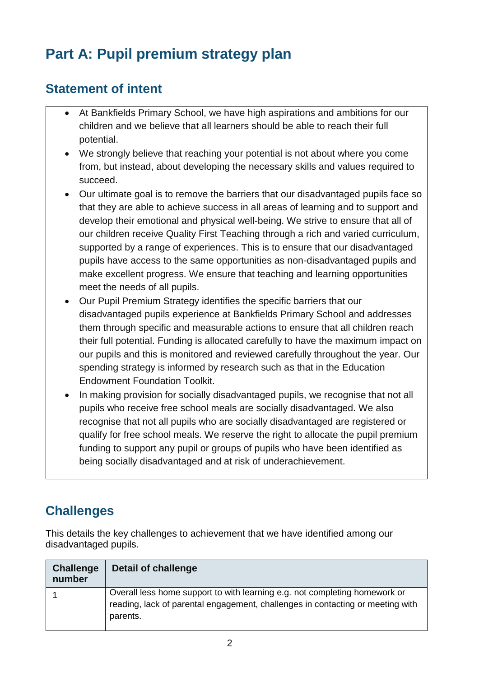# **Part A: Pupil premium strategy plan**

#### **Statement of intent**

- At Bankfields Primary School, we have high aspirations and ambitions for our children and we believe that all learners should be able to reach their full potential.
- We strongly believe that reaching your potential is not about where you come from, but instead, about developing the necessary skills and values required to succeed.
- Our ultimate goal is to remove the barriers that our disadvantaged pupils face so that they are able to achieve success in all areas of learning and to support and develop their emotional and physical well-being. We strive to ensure that all of our children receive Quality First Teaching through a rich and varied curriculum, supported by a range of experiences. This is to ensure that our disadvantaged pupils have access to the same opportunities as non-disadvantaged pupils and make excellent progress. We ensure that teaching and learning opportunities meet the needs of all pupils.
- Our Pupil Premium Strategy identifies the specific barriers that our disadvantaged pupils experience at Bankfields Primary School and addresses them through specific and measurable actions to ensure that all children reach their full potential. Funding is allocated carefully to have the maximum impact on our pupils and this is monitored and reviewed carefully throughout the year. Our spending strategy is informed by research such as that in the Education Endowment Foundation Toolkit.
- In making provision for socially disadvantaged pupils, we recognise that not all pupils who receive free school meals are socially disadvantaged. We also recognise that not all pupils who are socially disadvantaged are registered or qualify for free school meals. We reserve the right to allocate the pupil premium funding to support any pupil or groups of pupils who have been identified as being socially disadvantaged and at risk of underachievement.

## **Challenges**

This details the key challenges to achievement that we have identified among our disadvantaged pupils.

| <b>Challenge</b><br>number | <b>Detail of challenge</b>                                                                                                                                               |
|----------------------------|--------------------------------------------------------------------------------------------------------------------------------------------------------------------------|
|                            | Overall less home support to with learning e.g. not completing homework or<br>reading, lack of parental engagement, challenges in contacting or meeting with<br>parents. |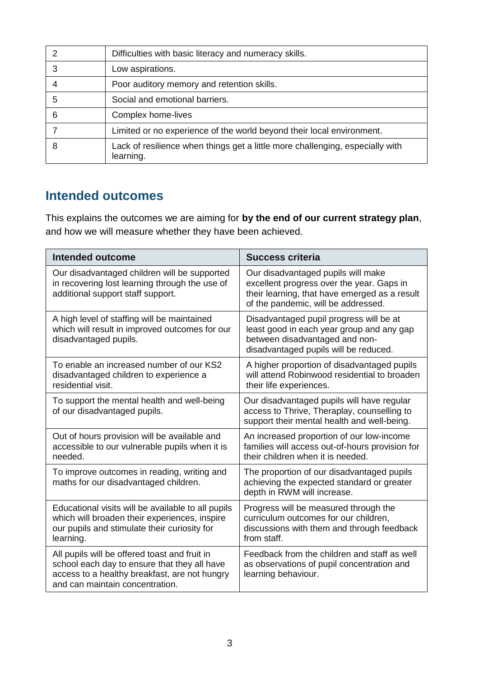|   | Difficulties with basic literacy and numeracy skills.                                      |
|---|--------------------------------------------------------------------------------------------|
| 3 | Low aspirations.                                                                           |
|   | Poor auditory memory and retention skills.                                                 |
| 5 | Social and emotional barriers.                                                             |
| 6 | Complex home-lives                                                                         |
|   | Limited or no experience of the world beyond their local environment.                      |
| 8 | Lack of resilience when things get a little more challenging, especially with<br>learning. |

### **Intended outcomes**

This explains the outcomes we are aiming for **by the end of our current strategy plan**, and how we will measure whether they have been achieved.

| <b>Intended outcome</b>                                                                                                                                                           | <b>Success criteria</b>                                                                                                                                                 |
|-----------------------------------------------------------------------------------------------------------------------------------------------------------------------------------|-------------------------------------------------------------------------------------------------------------------------------------------------------------------------|
| Our disadvantaged children will be supported<br>in recovering lost learning through the use of<br>additional support staff support.                                               | Our disadvantaged pupils will make<br>excellent progress over the year. Gaps in<br>their learning, that have emerged as a result<br>of the pandemic, will be addressed. |
| A high level of staffing will be maintained<br>which will result in improved outcomes for our<br>disadvantaged pupils.                                                            | Disadvantaged pupil progress will be at<br>least good in each year group and any gap<br>between disadvantaged and non-<br>disadvantaged pupils will be reduced.         |
| To enable an increased number of our KS2<br>disadvantaged children to experience a<br>residential visit.                                                                          | A higher proportion of disadvantaged pupils<br>will attend Robinwood residential to broaden<br>their life experiences.                                                  |
| To support the mental health and well-being<br>of our disadvantaged pupils.                                                                                                       | Our disadvantaged pupils will have regular<br>access to Thrive, Theraplay, counselling to<br>support their mental health and well-being.                                |
| Out of hours provision will be available and<br>accessible to our vulnerable pupils when it is<br>needed.                                                                         | An increased proportion of our low-income<br>families will access out-of-hours provision for<br>their children when it is needed.                                       |
| To improve outcomes in reading, writing and<br>maths for our disadvantaged children.                                                                                              | The proportion of our disadvantaged pupils<br>achieving the expected standard or greater<br>depth in RWM will increase.                                                 |
| Educational visits will be available to all pupils<br>which will broaden their experiences, inspire<br>our pupils and stimulate their curiosity for<br>learning.                  | Progress will be measured through the<br>curriculum outcomes for our children,<br>discussions with them and through feedback<br>from staff.                             |
| All pupils will be offered toast and fruit in<br>school each day to ensure that they all have<br>access to a healthy breakfast, are not hungry<br>and can maintain concentration. | Feedback from the children and staff as well<br>as observations of pupil concentration and<br>learning behaviour.                                                       |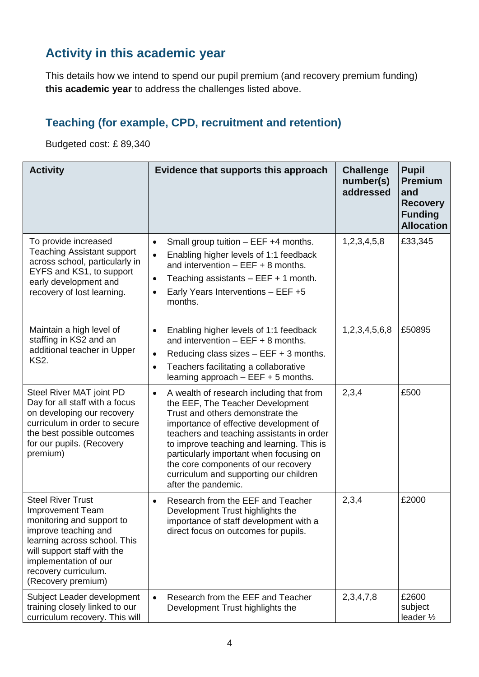### **Activity in this academic year**

This details how we intend to spend our pupil premium (and recovery premium funding) **this academic year** to address the challenges listed above.

#### **Teaching (for example, CPD, recruitment and retention)**

Budgeted cost: £ 89,340

| <b>Activity</b>                                                                                                                                                                                                                                | Evidence that supports this approach                                                                                                                                                                                                                                                                                                                                                                                 | <b>Challenge</b><br>number(s)<br>addressed | <b>Pupil</b><br><b>Premium</b><br>and<br><b>Recovery</b><br><b>Funding</b><br><b>Allocation</b> |
|------------------------------------------------------------------------------------------------------------------------------------------------------------------------------------------------------------------------------------------------|----------------------------------------------------------------------------------------------------------------------------------------------------------------------------------------------------------------------------------------------------------------------------------------------------------------------------------------------------------------------------------------------------------------------|--------------------------------------------|-------------------------------------------------------------------------------------------------|
| To provide increased<br><b>Teaching Assistant support</b><br>across school, particularly in<br>EYFS and KS1, to support<br>early development and<br>recovery of lost learning.                                                                 | Small group tuition - EEF +4 months.<br>$\bullet$<br>Enabling higher levels of 1:1 feedback<br>$\bullet$<br>and intervention $-$ EEF $+$ 8 months.<br>Teaching assistants $-$ EEF $+$ 1 month.<br>$\bullet$<br>Early Years Interventions - EEF +5<br>$\bullet$<br>months.                                                                                                                                            | 1,2,3,4,5,8                                | £33,345                                                                                         |
| Maintain a high level of<br>staffing in KS2 and an<br>additional teacher in Upper<br><b>KS2.</b>                                                                                                                                               | Enabling higher levels of 1:1 feedback<br>$\bullet$<br>and intervention $-EEF + 8$ months.<br>Reducing class sizes $-$ EEF $+$ 3 months.<br>$\bullet$<br>Teachers facilitating a collaborative<br>$\bullet$<br>learning approach $-$ EEF $+$ 5 months.                                                                                                                                                               | 1,2,3,4,5,6,8                              | £50895                                                                                          |
| Steel River MAT joint PD<br>Day for all staff with a focus<br>on developing our recovery<br>curriculum in order to secure<br>the best possible outcomes<br>for our pupils. (Recovery<br>premium)                                               | A wealth of research including that from<br>$\bullet$<br>the EEF, The Teacher Development<br>Trust and others demonstrate the<br>importance of effective development of<br>teachers and teaching assistants in order<br>to improve teaching and learning. This is<br>particularly important when focusing on<br>the core components of our recovery<br>curriculum and supporting our children<br>after the pandemic. | 2,3,4                                      | £500                                                                                            |
| <b>Steel River Trust</b><br><b>Improvement Team</b><br>monitoring and support to<br>improve teaching and<br>learning across school. This<br>will support staff with the<br>implementation of our<br>recovery curriculum.<br>(Recovery premium) | Research from the EEF and Teacher<br>Development Trust highlights the<br>importance of staff development with a<br>direct focus on outcomes for pupils.                                                                                                                                                                                                                                                              | 2,3,4                                      | £2000                                                                                           |
| Subject Leader development<br>training closely linked to our<br>curriculum recovery. This will                                                                                                                                                 | Research from the EEF and Teacher<br>$\bullet$<br>Development Trust highlights the                                                                                                                                                                                                                                                                                                                                   | 2, 3, 4, 7, 8                              | £2600<br>subject<br>leader 1/2                                                                  |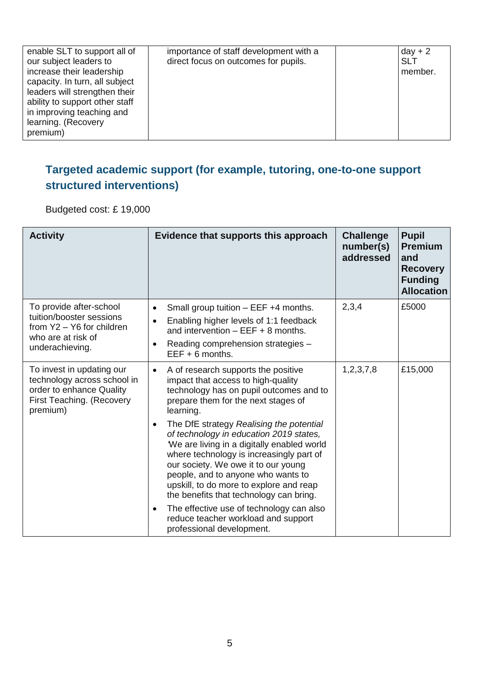| enable SLT to support all of<br>our subject leaders to<br>increase their leadership<br>capacity. In turn, all subject<br>leaders will strengthen their<br>ability to support other staff<br>in improving teaching and<br>learning. (Recovery<br>premium) | importance of staff development with a<br>direct focus on outcomes for pupils. | $day + 2$<br><b>SLT</b><br>member. |
|----------------------------------------------------------------------------------------------------------------------------------------------------------------------------------------------------------------------------------------------------------|--------------------------------------------------------------------------------|------------------------------------|
|----------------------------------------------------------------------------------------------------------------------------------------------------------------------------------------------------------------------------------------------------------|--------------------------------------------------------------------------------|------------------------------------|

#### **Targeted academic support (for example, tutoring, one-to-one support structured interventions)**

Budgeted cost: £ 19,000

| <b>Activity</b>                                                                                                               | Evidence that supports this approach                                                                                                                                                                                                                                                                                                                                                                                                                                                                                                                                                                                                                                   | <b>Challenge</b><br>number(s)<br>addressed | <b>Pupil</b><br><b>Premium</b><br>and<br><b>Recovery</b><br><b>Funding</b><br><b>Allocation</b> |
|-------------------------------------------------------------------------------------------------------------------------------|------------------------------------------------------------------------------------------------------------------------------------------------------------------------------------------------------------------------------------------------------------------------------------------------------------------------------------------------------------------------------------------------------------------------------------------------------------------------------------------------------------------------------------------------------------------------------------------------------------------------------------------------------------------------|--------------------------------------------|-------------------------------------------------------------------------------------------------|
| To provide after-school<br>tuition/booster sessions<br>from Y2 - Y6 for children<br>who are at risk of<br>underachieving.     | Small group tuition - EEF +4 months.<br>$\bullet$<br>Enabling higher levels of 1:1 feedback<br>$\bullet$<br>and intervention $-$ EEF $+$ 8 months.<br>Reading comprehension strategies -<br>$\bullet$<br>$EEF + 6$ months.                                                                                                                                                                                                                                                                                                                                                                                                                                             | 2,3,4                                      | £5000                                                                                           |
| To invest in updating our<br>technology across school in<br>order to enhance Quality<br>First Teaching. (Recovery<br>premium) | A of research supports the positive<br>impact that access to high-quality<br>technology has on pupil outcomes and to<br>prepare them for the next stages of<br>learning.<br>The DfE strategy Realising the potential<br>$\bullet$<br>of technology in education 2019 states,<br>We are living in a digitally enabled world<br>where technology is increasingly part of<br>our society. We owe it to our young<br>people, and to anyone who wants to<br>upskill, to do more to explore and reap<br>the benefits that technology can bring.<br>The effective use of technology can also<br>$\bullet$<br>reduce teacher workload and support<br>professional development. | 1, 2, 3, 7, 8                              | £15,000                                                                                         |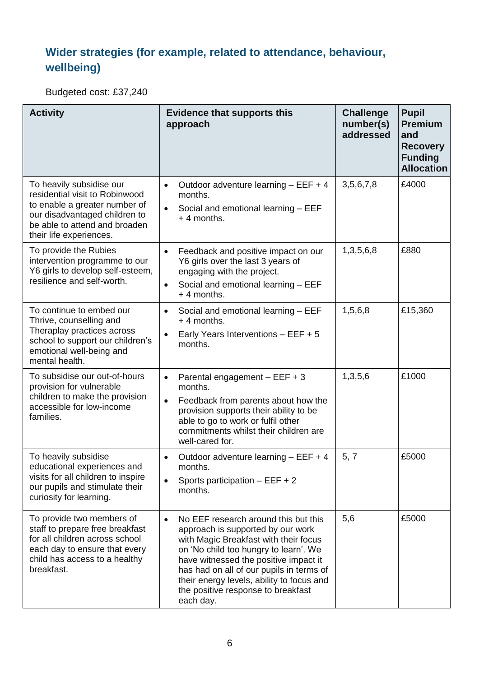### **Wider strategies (for example, related to attendance, behaviour, wellbeing)**

Budgeted cost: £37,240

| <b>Activity</b>                                                                                                                                                                          | <b>Evidence that supports this</b><br>approach                                                                                                                                                                                                                                                                                                                | <b>Challenge</b><br>number(s)<br>addressed | <b>Pupil</b><br><b>Premium</b><br>and<br><b>Recovery</b><br><b>Funding</b><br><b>Allocation</b> |
|------------------------------------------------------------------------------------------------------------------------------------------------------------------------------------------|---------------------------------------------------------------------------------------------------------------------------------------------------------------------------------------------------------------------------------------------------------------------------------------------------------------------------------------------------------------|--------------------------------------------|-------------------------------------------------------------------------------------------------|
| To heavily subsidise our<br>residential visit to Robinwood<br>to enable a greater number of<br>our disadvantaged children to<br>be able to attend and broaden<br>their life experiences. | Outdoor adventure learning $-$ EEF $+$ 4<br>$\bullet$<br>months.<br>Social and emotional learning - EEF<br>$+4$ months.                                                                                                                                                                                                                                       | 3,5,6,7,8                                  | £4000                                                                                           |
| To provide the Rubies<br>intervention programme to our<br>Y6 girls to develop self-esteem,<br>resilience and self-worth.                                                                 | Feedback and positive impact on our<br>$\bullet$<br>Y6 girls over the last 3 years of<br>engaging with the project.<br>Social and emotional learning - EEF<br>$\bullet$<br>$+4$ months.                                                                                                                                                                       | 1,3,5,6,8                                  | £880                                                                                            |
| To continue to embed our<br>Thrive, counselling and<br>Theraplay practices across<br>school to support our children's<br>emotional well-being and<br>mental health.                      | Social and emotional learning - EEF<br>$\bullet$<br>$+4$ months.<br>Early Years Interventions - EEF + 5<br>$\bullet$<br>months.                                                                                                                                                                                                                               | 1,5,6,8                                    | £15,360                                                                                         |
| To subsidise our out-of-hours<br>provision for vulnerable<br>children to make the provision<br>accessible for low-income<br>families.                                                    | Parental engagement - EEF + 3<br>$\bullet$<br>months.<br>Feedback from parents about how the<br>$\bullet$<br>provision supports their ability to be<br>able to go to work or fulfil other<br>commitments whilst their children are<br>well-cared for.                                                                                                         | 1,3,5,6                                    | £1000                                                                                           |
| To heavily subsidise<br>educational experiences and<br>visits for all children to inspire<br>our pupils and stimulate their<br>curiosity for learning.                                   | Outdoor adventure learning $-$ EEF $+$ 4<br>٠<br>months.<br>Sports participation $-$ EEF $+ 2$<br>months.                                                                                                                                                                                                                                                     | 5, 7                                       | £5000                                                                                           |
| To provide two members of<br>staff to prepare free breakfast<br>for all children across school<br>each day to ensure that every<br>child has access to a healthy<br>breakfast.           | No EEF research around this but this<br>$\bullet$<br>approach is supported by our work<br>with Magic Breakfast with their focus<br>on 'No child too hungry to learn'. We<br>have witnessed the positive impact it<br>has had on all of our pupils in terms of<br>their energy levels, ability to focus and<br>the positive response to breakfast<br>each day. | 5,6                                        | £5000                                                                                           |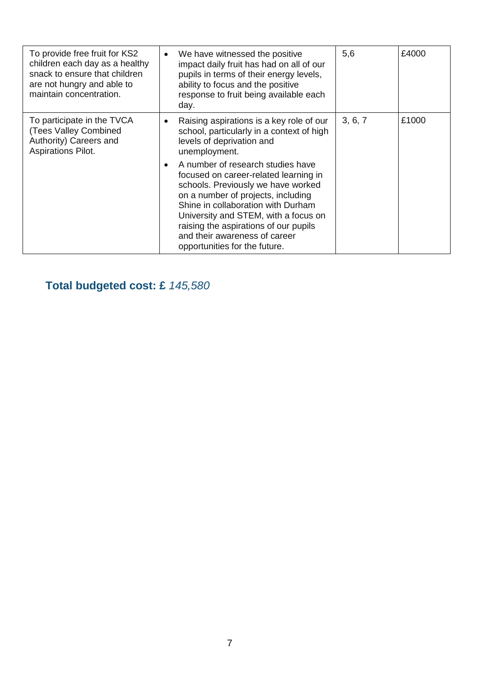| To provide free fruit for KS2<br>children each day as a healthy<br>snack to ensure that children<br>are not hungry and able to<br>maintain concentration. | $\bullet$ | We have witnessed the positive<br>impact daily fruit has had on all of our<br>pupils in terms of their energy levels,<br>ability to focus and the positive<br>response to fruit being available each<br>day.                                                                                                                                    | 5,6     | £4000 |
|-----------------------------------------------------------------------------------------------------------------------------------------------------------|-----------|-------------------------------------------------------------------------------------------------------------------------------------------------------------------------------------------------------------------------------------------------------------------------------------------------------------------------------------------------|---------|-------|
| To participate in the TVCA<br>(Tees Valley Combined<br>Authority) Careers and<br>Aspirations Pilot.                                                       | $\bullet$ | Raising aspirations is a key role of our<br>school, particularly in a context of high<br>levels of deprivation and<br>unemployment.                                                                                                                                                                                                             | 3, 6, 7 | £1000 |
|                                                                                                                                                           |           | A number of research studies have<br>focused on career-related learning in<br>schools. Previously we have worked<br>on a number of projects, including<br>Shine in collaboration with Durham<br>University and STEM, with a focus on<br>raising the aspirations of our pupils<br>and their awareness of career<br>opportunities for the future. |         |       |

# **Total budgeted cost: £** *145,580*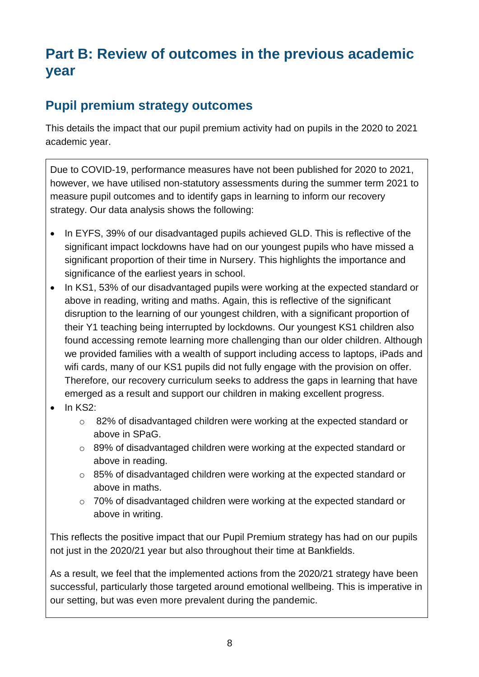# **Part B: Review of outcomes in the previous academic year**

#### **Pupil premium strategy outcomes**

This details the impact that our pupil premium activity had on pupils in the 2020 to 2021 academic year.

Due to COVID-19, performance measures have not been published for 2020 to 2021, however, we have utilised non-statutory assessments during the summer term 2021 to measure pupil outcomes and to identify gaps in learning to inform our recovery strategy. Our data analysis shows the following:

- In EYFS, 39% of our disadvantaged pupils achieved GLD. This is reflective of the significant impact lockdowns have had on our youngest pupils who have missed a significant proportion of their time in Nursery. This highlights the importance and significance of the earliest years in school.
- In KS1, 53% of our disadvantaged pupils were working at the expected standard or above in reading, writing and maths. Again, this is reflective of the significant disruption to the learning of our youngest children, with a significant proportion of their Y1 teaching being interrupted by lockdowns. Our youngest KS1 children also found accessing remote learning more challenging than our older children. Although we provided families with a wealth of support including access to laptops, iPads and wifi cards, many of our KS1 pupils did not fully engage with the provision on offer. Therefore, our recovery curriculum seeks to address the gaps in learning that have emerged as a result and support our children in making excellent progress.
- $\bullet$  In KS2:
	- o 82% of disadvantaged children were working at the expected standard or above in SPaG.
	- o 89% of disadvantaged children were working at the expected standard or above in reading.
	- o 85% of disadvantaged children were working at the expected standard or above in maths.
	- o 70% of disadvantaged children were working at the expected standard or above in writing.

This reflects the positive impact that our Pupil Premium strategy has had on our pupils not just in the 2020/21 year but also throughout their time at Bankfields.

As a result, we feel that the implemented actions from the 2020/21 strategy have been successful, particularly those targeted around emotional wellbeing. This is imperative in our setting, but was even more prevalent during the pandemic.